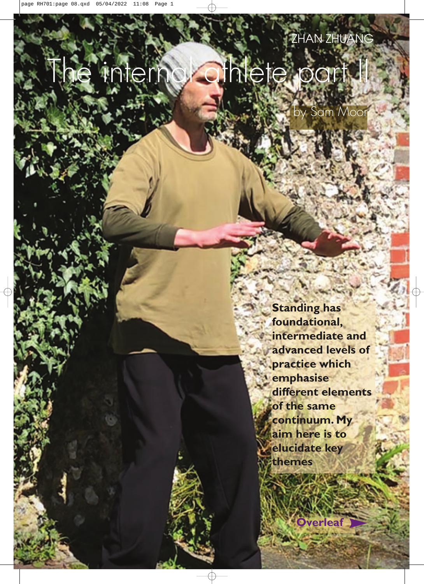# The internal athlete part II

by Sam Moor

**Standing has foundational, intermediate and advanced levels of practice which emphasise different elements of the same continuum. My aim here is to elucidate key themes**

**Overleaf**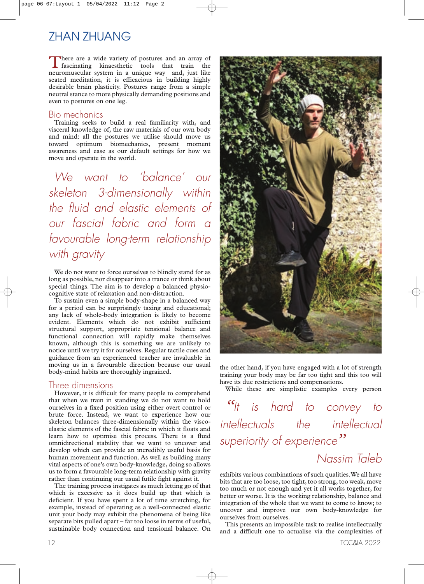There are a wide variety of postures and an array of fascinating kinaesthetic tools that train the neuromuscular system in a unique way and, just like seated meditation, it is efficacious in building highly desirable brain plasticity. Postures range from a simple neutral stance to more physically demanding positions and even to postures on one leg.

## Bio mechanics

Training seeks to build a real familiarity with, and visceral knowledge of, the raw materials of our own body and mind: all the postures we utilise should move us toward optimum biomechanics, present moment awareness and ease as our default settings for how we move and operate in the world.

*We want to 'balance' our skeleton 3-dimensionally within the fluid and elastic elements of our fascial fabric and form a favourable long-term relationship with gravity*

We do not want to force ourselves to blindly stand for as long as possible, nor disappear into a trance or think about special things. The aim is to develop a balanced physiocognitive state of relaxation and non-distraction.

To sustain even a simple body-shape in a balanced way for a period can be surprisingly taxing and educational; any lack of whole-body integration is likely to become evident. Elements which do not exhibit sufficient structural support, appropriate tensional balance and functional connection will rapidly make themselves known, although this is something we are unlikely to notice until we try it for ourselves. Regular tactile cues and guidance from an experienced teacher are invaluable in moving us in a favourable direction because our usual body-mind habits are thoroughly ingrained.

## Three dimensions

However, it is difficult for many people to comprehend that when we train in standing we do not want to hold ourselves in a fixed position using either overt control or brute force. Instead, we want to experience how our skeleton balances three-dimensionally within the viscoelastic elements of the fascial fabric in which it floats and learn how to optimise this process. There is a fluid omnidirectional stability that we want to uncover and develop which can provide an incredibly useful basis for human movement and function. As well as building many vital aspects of one's own body-knowledge, doing so allows us to form a favourable long-term relationship with gravity rather than continuing our usual futile fight against it.

The training process instigates as much letting go of that which is excessive as it does build up that which is deficient. If you have spent a lot of time stretching, for example, instead of operating as a well-connected elastic unit your body may exhibit the phenomena of being like separate bits pulled apart – far too loose in terms of useful, sustainable body connection and tensional balance. On



the other hand, if you have engaged with a lot of strength training your body may be far too tight and this too will have its due restrictions and compensations.

While these are simplistic examples every person

*"It is hard to convey to intellectuals the intellectual superiority of experience"*

# *Nassim Taleb*

exhibits various combinations of such qualities.We all have bits that are too loose, too tight, too strong, too weak, move too much or not enough and yet it all works together, for better or worse. It is the working relationship, balance and integration of the whole that we want to come to know; to uncover and improve our own body-knowledge for ourselves from ourselves.

This presents an impossible task to realise intellectually and a difficult one to actualise via the complexities of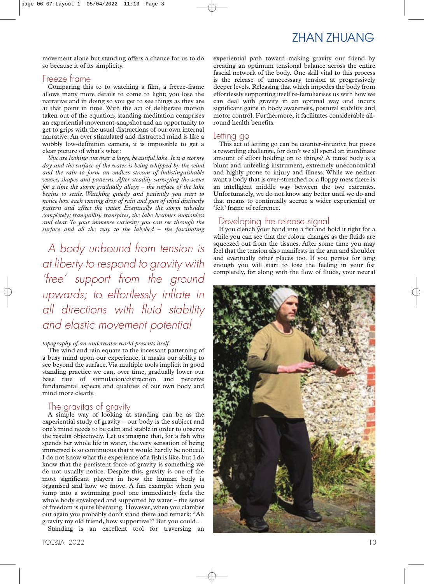movement alone but standing offers a chance for us to do so because it of its simplicity.

### Freeze frame

Comparing this to to watching a film, a freeze-frame allows many more details to come to light; you lose the narrative and in doing so you get to see things as they are at that point in time. With the act of deliberate motion taken out of the equation, standing meditation comprises an experiential movement-snapshot and an opportunity to get to grips with the usual distractions of our own internal narrative. An over stimulated and distracted mind is like a wobbly low-definition camera, it is impossible to get a clear picture of what's what:

*You are looking out over a large, beautiful lake. It is a stormy day and the surface of the water is being whipped by the wind and the rain to form an endless stream of indistinguishable waves, shapes and patterns. After steadily surveying the scene for a time the storm gradually allays – the surface of the lake begins to settle. Watching quietly and patiently you start to notice how each waning drop of rain and gust of wind distinctly pattern and affect the water. Eventually the storm subsides completely; tranquillity transpires, the lake becomes motionless and clear. To your immense curiosity you can see through the surface and all the way to the lakebed – the fascinating*

*A body unbound from tension is at liberty to respond to gravity with 'free' support from the ground upwards; to effortlessly inflate in all directions with fluid stability and elastic movement potential*

#### *topography of an underwater world presents itself.*

The wind and rain equate to the incessant patterning of a busy mind upon our experience, it masks our ability to see beyond the surface.Via multiple tools implicit in good standing practice we can, over time, gradually lower our base rate of stimulation/distraction and perceive fundamental aspects and qualities of our own body and mind more clearly.

## The gravitas of gravity

A simple way of looking at standing can be as the experiential study of gravity – our body is the subject and one's mind needs to be calm and stable in order to observe the results objectively. Let us imagine that, for a fish who spends her whole life in water, the very sensation of being immersed is so continuous that it would hardly be noticed. I do not know what the experience of a fish is like, but I do know that the persistent force of gravity is something we do not usually notice. Despite this, gravity is one of the most significant players in how the human body is organised and how we move. A fun example: when you jump into a swimming pool one immediately feels the whole body enveloped and supported by water – the sense of freedom is quite liberating. However, when you clamber out again you probably don't stand there and remark: "Ah g ravity my old friend, how supportive!" But you could…

Standing is an excellent tool for traversing an

experiential path toward making gravity our friend by creating an optimum tensional balance across the entire fascial network of the body. One skill vital to this process is the release of unnecessary tension at progressively deeper levels. Releasing that which impedes the body from effortlessly supporting itself re-familiarises us with how we can deal with gravity in an optimal way and incurs significant gains in body awareness, postural stability and motor control. Furthermore, it facilitates considerable allround health benefits.

#### Letting go

This act of letting go can be counter-intuitive but poses a rewarding challenge, for don't we all spend an inordinate amount of effort holding on to things? A tense body is a blunt and unfeeling instrument, extremely uneconomical and highly prone to injury and illness. While we neither want a body that is over-stretched or a floppy mess there is an intelligent middle way between the two extremes. Unfortunately, we do not know any better until we do and that means to continually accrue a wider experiential or 'felt' frame of reference.

## Developing the release signal

If you clench your hand into a fist and hold it tight for a while you can see that the colour changes as the fluids are squeezed out from the tissues. After some time you may feel that the tension also manifests in the arm and shoulder and eventually other places too. If you persist for long enough you will start to lose the feeling in your fist completely, for along with the flow of fluids, your neural